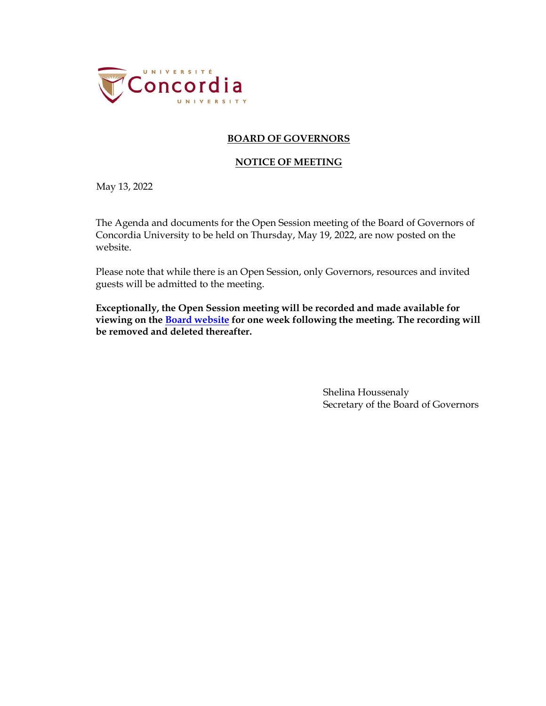

## **BOARD OF GOVERNORS**

#### **NOTICE OF MEETING**

May 13, 2022

The Agenda and documents for the Open Session meeting of the Board of Governors of Concordia University to be held on Thursday, May 19, 2022, are now posted on the website.

Please note that while there is an Open Session, only Governors, resources and invited guests will be admitted to the meeting.

**Exceptionally, the Open Session meeting will be recorded and made available for viewing on the [Board website](https://www.concordia.ca/about/administration-governance/board-senate/governors/schedule.html) for one week following the meeting. The recording will be removed and deleted thereafter.**

> Shelina Houssenaly Secretary of the Board of Governors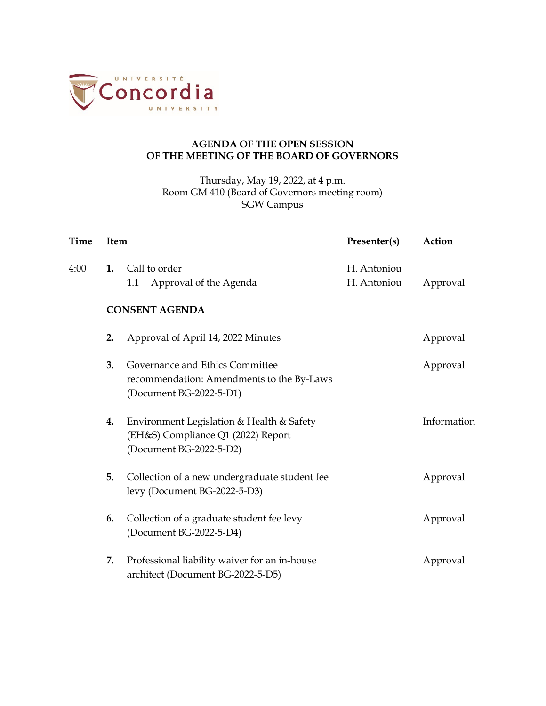

#### **AGENDA OF THE OPEN SESSION OF THE MEETING OF THE BOARD OF GOVERNORS**

Thursday, May 19, 2022, at 4 p.m. Room GM 410 (Board of Governors meeting room) SGW Campus

| Time | Item |                                                                                                            | Presenter(s)               | Action      |
|------|------|------------------------------------------------------------------------------------------------------------|----------------------------|-------------|
| 4:00 | 1.   | Call to order<br>Approval of the Agenda<br>1.1                                                             | H. Antoniou<br>H. Antoniou | Approval    |
|      |      | <b>CONSENT AGENDA</b>                                                                                      |                            |             |
|      | 2.   | Approval of April 14, 2022 Minutes                                                                         |                            | Approval    |
|      | 3.   | Governance and Ethics Committee<br>recommendation: Amendments to the By-Laws<br>(Document BG-2022-5-D1)    |                            | Approval    |
|      | 4.   | Environment Legislation & Health & Safety<br>(EH&S) Compliance Q1 (2022) Report<br>(Document BG-2022-5-D2) |                            | Information |
|      | 5.   | Collection of a new undergraduate student fee<br>levy (Document BG-2022-5-D3)                              |                            | Approval    |
|      | 6.   | Collection of a graduate student fee levy<br>(Document BG-2022-5-D4)                                       |                            | Approval    |
|      | 7.   | Professional liability waiver for an in-house<br>architect (Document BG-2022-5-D5)                         |                            | Approval    |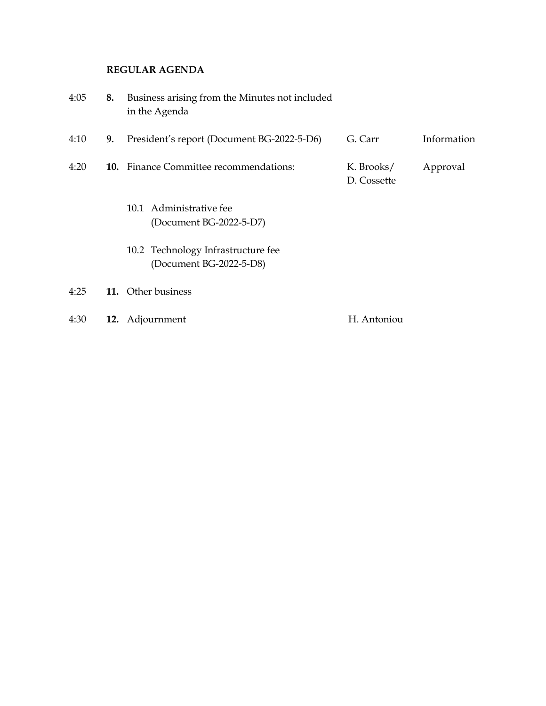## **REGULAR AGENDA**

| 4:05 | 8.  | Business arising from the Minutes not included<br>in the Agenda |                           |             |  |
|------|-----|-----------------------------------------------------------------|---------------------------|-------------|--|
| 4:10 | 9.  | President's report (Document BG-2022-5-D6)                      | G. Carr                   | Information |  |
| 4:20 |     | 10. Finance Committee recommendations:                          | K. Brooks/<br>D. Cossette | Approval    |  |
|      |     | 10.1 Administrative fee<br>(Document BG-2022-5-D7)              |                           |             |  |
|      |     | 10.2 Technology Infrastructure fee<br>(Document BG-2022-5-D8)   |                           |             |  |
| 4:25 |     | 11. Other business                                              |                           |             |  |
| 4:30 | 12. | H. Antoniou<br>Adjournment                                      |                           |             |  |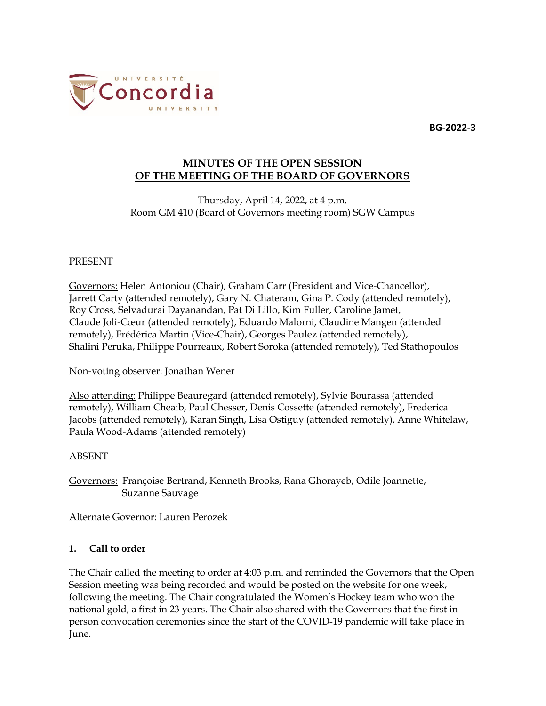

**BG-2022-3** 

## **MINUTES OF THE OPEN SESSION OF THE MEETING OF THE BOARD OF GOVERNORS**

Thursday, April 14, 2022, at 4 p.m. Room GM 410 (Board of Governors meeting room) SGW Campus

## PRESENT

Governors: Helen Antoniou (Chair), Graham Carr (President and Vice-Chancellor), Jarrett Carty (attended remotely), Gary N. Chateram, Gina P. Cody (attended remotely), Roy Cross, Selvadurai Dayanandan, Pat Di Lillo, Kim Fuller, Caroline Jamet, Claude Joli-Cœur (attended remotely), Eduardo Malorni, Claudine Mangen (attended remotely), Frédérica Martin (Vice-Chair), Georges Paulez (attended remotely), Shalini Peruka, Philippe Pourreaux, Robert Soroka (attended remotely), Ted Stathopoulos

#### Non-voting observer: Jonathan Wener

Also attending: Philippe Beauregard (attended remotely), Sylvie Bourassa (attended remotely), William Cheaib, Paul Chesser, Denis Cossette (attended remotely), Frederica Jacobs (attended remotely), Karan Singh, Lisa Ostiguy (attended remotely), Anne Whitelaw, Paula Wood-Adams (attended remotely)

#### ABSENT

Governors: Françoise Bertrand, Kenneth Brooks, Rana Ghorayeb, Odile Joannette, Suzanne Sauvage

Alternate Governor: Lauren Perozek

## **1. Call to order**

The Chair called the meeting to order at 4:03 p.m. and reminded the Governors that the Open Session meeting was being recorded and would be posted on the website for one week, following the meeting. The Chair congratulated the Women's Hockey team who won the national gold, a first in 23 years. The Chair also shared with the Governors that the first inperson convocation ceremonies since the start of the COVID-19 pandemic will take place in June.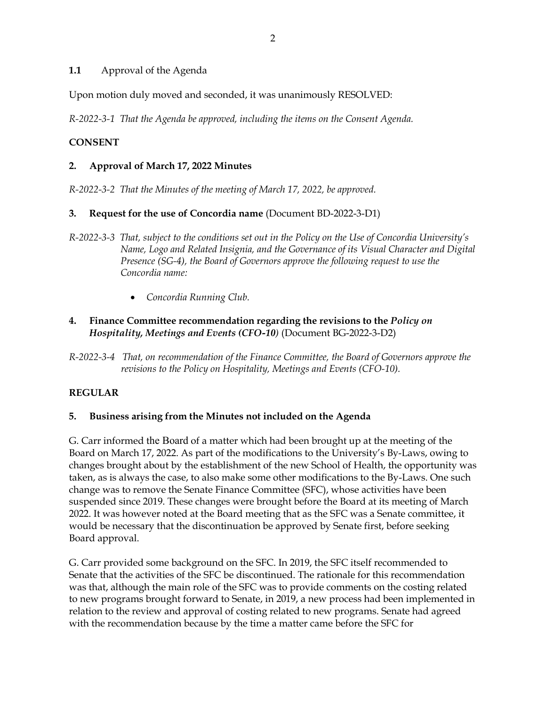#### **1.1** Approval of the Agenda

Upon motion duly moved and seconded, it was unanimously RESOLVED:

*R-2022-3-1 That the Agenda be approved, including the items on the Consent Agenda.*

## **CONSENT**

#### **2. Approval of March 17, 2022 Minutes**

*R-2022-3-2 That the Minutes of the meeting of March 17, 2022, be approved.*

#### **3. Request for the use of Concordia name** (Document BD-2022-3-D1)

- *R-2022-3-3 That, subject to the conditions set out in the Policy on the Use of Concordia University's Name, Logo and Related Insignia, and the Governance of its Visual Character and Digital Presence (SG-4), the Board of Governors approve the following request to use the Concordia name:*
	- *Concordia Running Club.*

## **4. Finance Committee recommendation regarding the revisions to the** *Policy on Hospitality, Meetings and Events (CFO-10)* (Document BG-2022-3-D2)

*R-2022-3-4 That, on recommendation of the Finance Committee, the Board of Governors approve the revisions to the Policy on Hospitality, Meetings and Events (CFO-10).* 

#### **REGULAR**

#### **5. Business arising from the Minutes not included on the Agenda**

G. Carr informed the Board of a matter which had been brought up at the meeting of the Board on March 17, 2022. As part of the modifications to the University's By-Laws, owing to changes brought about by the establishment of the new School of Health, the opportunity was taken, as is always the case, to also make some other modifications to the By-Laws. One such change was to remove the Senate Finance Committee (SFC), whose activities have been suspended since 2019. These changes were brought before the Board at its meeting of March 2022. It was however noted at the Board meeting that as the SFC was a Senate committee, it would be necessary that the discontinuation be approved by Senate first, before seeking Board approval.

G. Carr provided some background on the SFC. In 2019, the SFC itself recommended to Senate that the activities of the SFC be discontinued. The rationale for this recommendation was that, although the main role of the SFC was to provide comments on the costing related to new programs brought forward to Senate, in 2019, a new process had been implemented in relation to the review and approval of costing related to new programs. Senate had agreed with the recommendation because by the time a matter came before the SFC for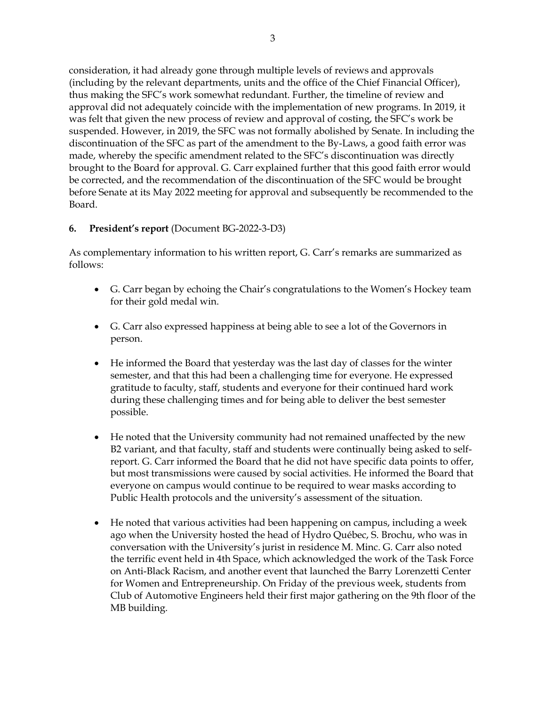consideration, it had already gone through multiple levels of reviews and approvals (including by the relevant departments, units and the office of the Chief Financial Officer), thus making the SFC's work somewhat redundant. Further, the timeline of review and approval did not adequately coincide with the implementation of new programs. In 2019, it was felt that given the new process of review and approval of costing, the SFC's work be suspended. However, in 2019, the SFC was not formally abolished by Senate. In including the discontinuation of the SFC as part of the amendment to the By-Laws, a good faith error was made, whereby the specific amendment related to the SFC's discontinuation was directly brought to the Board for approval. G. Carr explained further that this good faith error would be corrected, and the recommendation of the discontinuation of the SFC would be brought before Senate at its May 2022 meeting for approval and subsequently be recommended to the Board.

## **6. President's report** (Document BG-2022-3-D3)

As complementary information to his written report, G. Carr's remarks are summarized as follows:

- G. Carr began by echoing the Chair's congratulations to the Women's Hockey team for their gold medal win.
- G. Carr also expressed happiness at being able to see a lot of the Governors in person.
- He informed the Board that yesterday was the last day of classes for the winter semester, and that this had been a challenging time for everyone. He expressed gratitude to faculty, staff, students and everyone for their continued hard work during these challenging times and for being able to deliver the best semester possible.
- He noted that the University community had not remained unaffected by the new B2 variant, and that faculty, staff and students were continually being asked to selfreport. G. Carr informed the Board that he did not have specific data points to offer, but most transmissions were caused by social activities. He informed the Board that everyone on campus would continue to be required to wear masks according to Public Health protocols and the university's assessment of the situation.
- He noted that various activities had been happening on campus, including a week ago when the University hosted the head of Hydro Québec, S. Brochu, who was in conversation with the University's jurist in residence M. Minc. G. Carr also noted the terrific event held in 4th Space, which acknowledged the work of the Task Force on Anti-Black Racism, and another event that launched the Barry Lorenzetti Center for Women and Entrepreneurship. On Friday of the previous week, students from Club of Automotive Engineers held their first major gathering on the 9th floor of the MB building.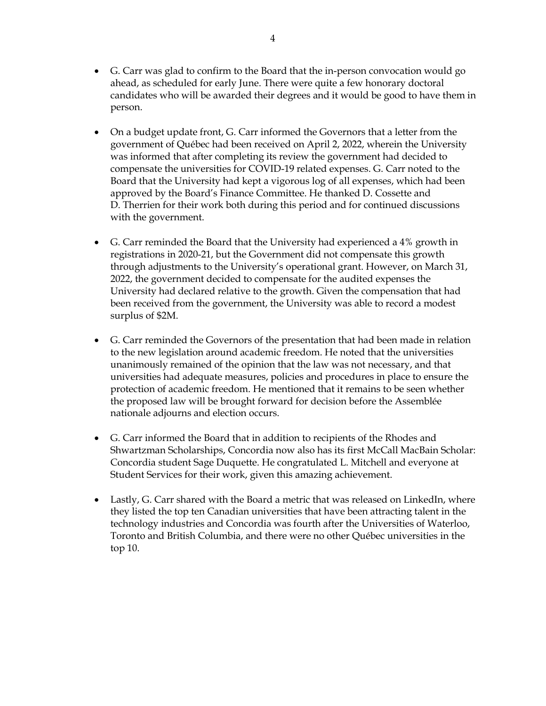- G. Carr was glad to confirm to the Board that the in-person convocation would go ahead, as scheduled for early June. There were quite a few honorary doctoral candidates who will be awarded their degrees and it would be good to have them in person.
- On a budget update front, G. Carr informed the Governors that a letter from the government of Québec had been received on April 2, 2022, wherein the University was informed that after completing its review the government had decided to compensate the universities for COVID-19 related expenses. G. Carr noted to the Board that the University had kept a vigorous log of all expenses, which had been approved by the Board's Finance Committee. He thanked D. Cossette and D. Therrien for their work both during this period and for continued discussions with the government.
- G. Carr reminded the Board that the University had experienced a 4% growth in registrations in 2020-21, but the Government did not compensate this growth through adjustments to the University's operational grant. However, on March 31, 2022, the government decided to compensate for the audited expenses the University had declared relative to the growth. Given the compensation that had been received from the government, the University was able to record a modest surplus of \$2M.
- G. Carr reminded the Governors of the presentation that had been made in relation to the new legislation around academic freedom. He noted that the universities unanimously remained of the opinion that the law was not necessary, and that universities had adequate measures, policies and procedures in place to ensure the protection of academic freedom. He mentioned that it remains to be seen whether the proposed law will be brought forward for decision before the Assemblée nationale adjourns and election occurs.
- G. Carr informed the Board that in addition to recipients of the Rhodes and Shwartzman Scholarships, Concordia now also has its first McCall MacBain Scholar: Concordia student Sage Duquette. He congratulated L. Mitchell and everyone at Student Services for their work, given this amazing achievement.
- Lastly, G. Carr shared with the Board a metric that was released on LinkedIn, where they listed the top ten Canadian universities that have been attracting talent in the technology industries and Concordia was fourth after the Universities of Waterloo, Toronto and British Columbia, and there were no other Québec universities in the top 10.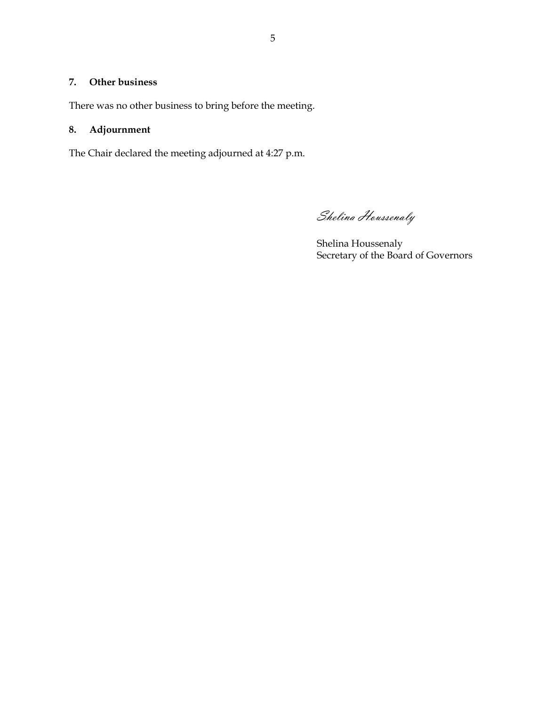#### **7. Other business**

There was no other business to bring before the meeting.

## **8. Adjournment**

The Chair declared the meeting adjourned at 4:27 p.m.

Shelina Houssenaly

Shelina Houssenaly Secretary of the Board of Governors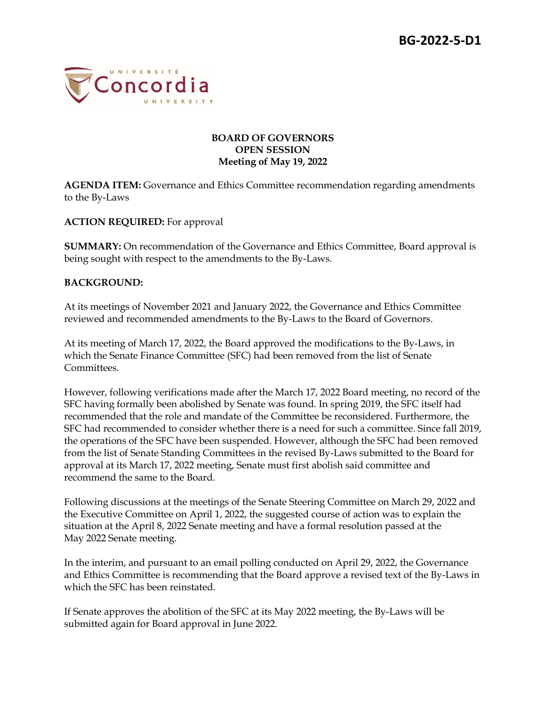

**AGENDA ITEM:** Governance and Ethics Committee recommendation regarding amendments to the By-Laws

## **ACTION REQUIRED:** For approval

**SUMMARY:** On recommendation of the Governance and Ethics Committee, Board approval is being sought with respect to the amendments to the By-Laws.

#### **BACKGROUND:**

At its meetings of November 2021 and January 2022, the Governance and Ethics Committee reviewed and recommended amendments to the By-Laws to the Board of Governors.

At its meeting of March 17, 2022, the Board approved the modifications to the By-Laws, in which the Senate Finance Committee (SFC) had been removed from the list of Senate Committees.

However, following verifications made after the March 17, 2022 Board meeting, no record of the SFC having formally been abolished by Senate was found. In spring 2019, the SFC itself had recommended that the role and mandate of the Committee be reconsidered. Furthermore, the SFC had recommended to consider whether there is a need for such a committee. Since fall 2019, the operations of the SFC have been suspended. However, although the SFC had been removed from the list of Senate Standing Committees in the revised By-Laws submitted to the Board for approval at its March 17, 2022 meeting, Senate must first abolish said committee and recommend the same to the Board.

Following discussions at the meetings of the Senate Steering Committee on March 29, 2022 and the Executive Committee on April 1, 2022, the suggested course of action was to explain the situation at the April 8, 2022 Senate meeting and have a formal resolution passed at the May 2022 Senate meeting.

In the interim, and pursuant to an email polling conducted on April 29, 2022, the Governance and Ethics Committee is recommending that the Board approve a revised text of the By-Laws in which the SFC has been reinstated.

If Senate approves the abolition of the SFC at its May 2022 meeting, the By-Laws will be submitted again for Board approval in June 2022.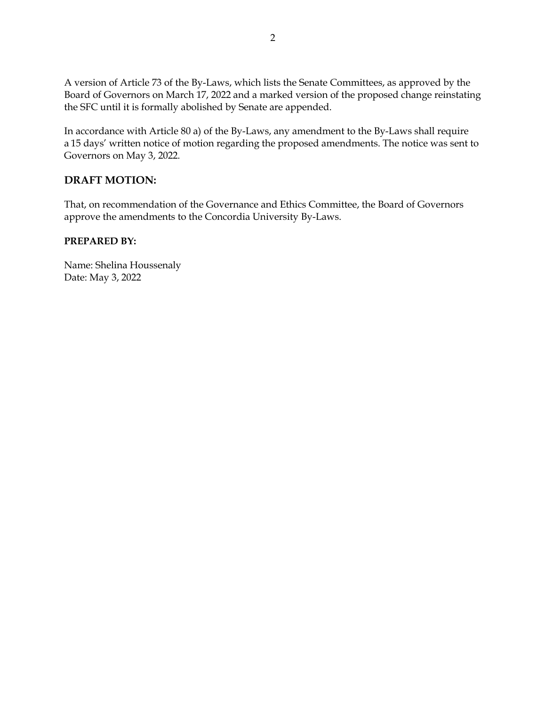A version of Article 73 of the By-Laws, which lists the Senate Committees, as approved by the Board of Governors on March 17, 2022 and a marked version of the proposed change reinstating the SFC until it is formally abolished by Senate are appended.

In accordance with Article 80 a) of the By-Laws, any amendment to the By-Laws shall require a 15 days' written notice of motion regarding the proposed amendments. The notice was sent to Governors on May 3, 2022.

## **DRAFT MOTION:**

That, on recommendation of the Governance and Ethics Committee, the Board of Governors approve the amendments to the Concordia University By-Laws.

#### **PREPARED BY:**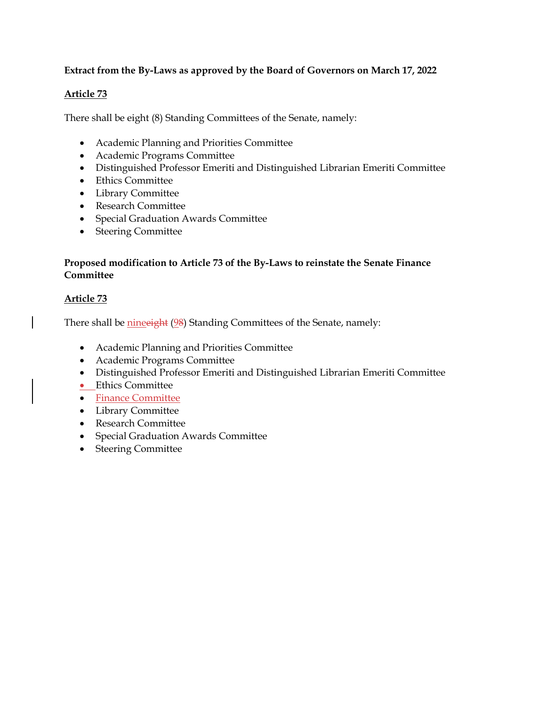## **Extract from the By-Laws as approved by the Board of Governors on March 17, 2022**

## **Article 73**

There shall be eight (8) Standing Committees of the Senate, namely:

- Academic Planning and Priorities Committee
- Academic Programs Committee
- Distinguished Professor Emeriti and Distinguished Librarian Emeriti Committee
- Ethics Committee
- Library Committee
- Research Committee
- Special Graduation Awards Committee
- Steering Committee

## **Proposed modification to Article 73 of the By-Laws to reinstate the Senate Finance Committee**

## **Article 73**

There shall be **nineeight** (98) Standing Committees of the Senate, namely:

- Academic Planning and Priorities Committee
- Academic Programs Committee
- Distinguished Professor Emeriti and Distinguished Librarian Emeriti Committee
- Ethics Committee
- Finance Committee
- Library Committee
- Research Committee
- Special Graduation Awards Committee
- Steering Committee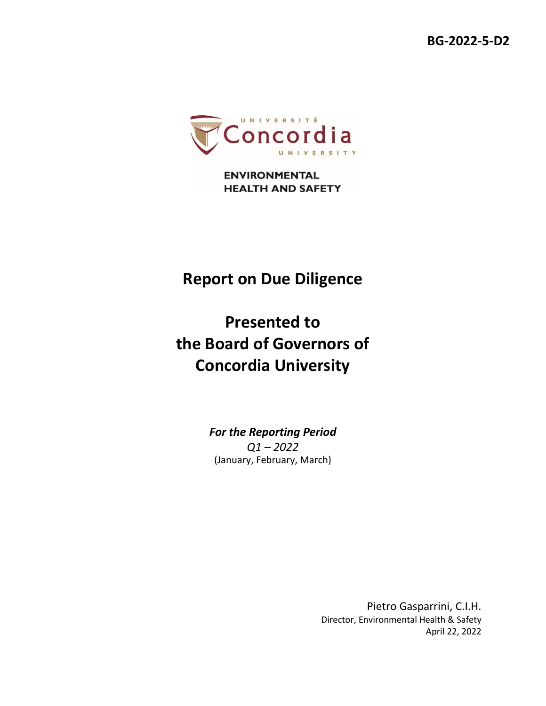**BG-2022-5-D2**



**ENVIRONMENTAL HEALTH AND SAFETY** 

## **Report on Due Diligence**

# **Presented to the Board of Governors of Concordia University**

*For the Reporting Period Q1 – 2022* (January, February, March)

> Pietro Gasparrini, C.I.H. Director, Environmental Health & Safety April 22, 2022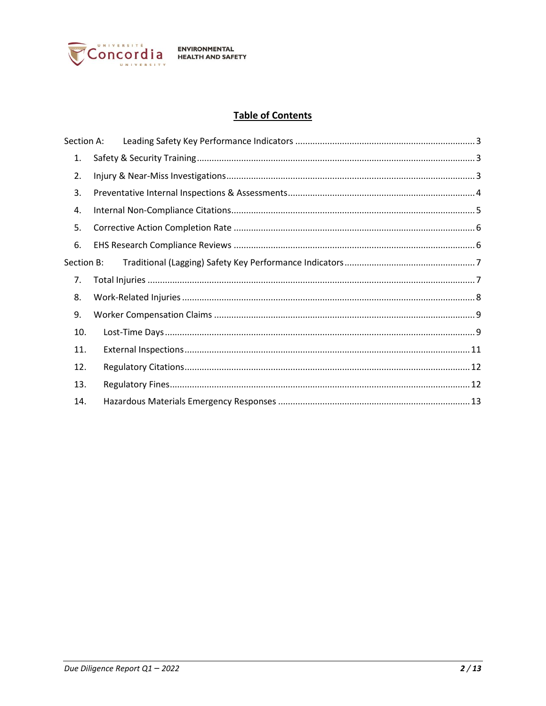

## **Table of Contents**

| Section A: |  |
|------------|--|
| 1.         |  |
| 2.         |  |
| 3.         |  |
| 4.         |  |
| 5.         |  |
| 6.         |  |
| Section B: |  |
| 7.         |  |
| 8.         |  |
| 9.         |  |
| 10.        |  |
| 11.        |  |
| 12.        |  |
| 13.        |  |
| 14.        |  |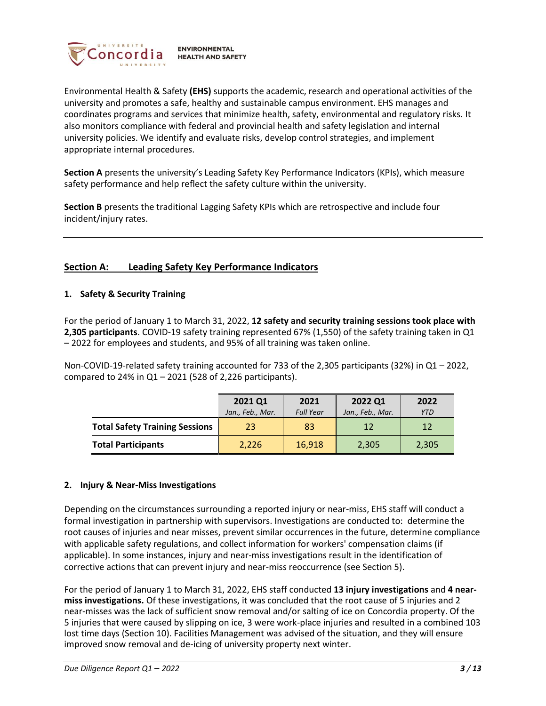

**ENVIRONMENTAL HEALTH AND SAFETY** 

Environmental Health & Safety **(EHS)** supports the academic, research and operational activities of the university and promotes a safe, healthy and sustainable campus environment. EHS manages and coordinates programs and services that minimize health, safety, environmental and regulatory risks. It also monitors compliance with federal and provincial health and safety legislation and internal university policies. We identify and evaluate risks, develop control strategies, and implement appropriate internal procedures.

**Section A** presents the university's Leading Safety Key Performance Indicators (KPIs), which measure safety performance and help reflect the safety culture within the university.

**Section B** presents the traditional Lagging Safety KPIs which are retrospective and include four incident/injury rates.

#### <span id="page-13-0"></span>**Section A: Leading Safety Key Performance Indicators**

#### <span id="page-13-1"></span>**1. Safety & Security Training**

For the period of January 1 to March 31, 2022, **12 safety and security training sessions took place with 2,305 participants**. COVID-19 safety training represented 67% (1,550) of the safety training taken in Q1 – 2022 for employees and students, and 95% of all training was taken online.

Non-COVID-19-related safety training accounted for 733 of the 2,305 participants (32%) in Q1 – 2022, compared to 24% in Q1 – 2021 (528 of 2,226 participants).

|                                       | 2021 Q1          | 2021             | 2022 Q1          | 2022       |
|---------------------------------------|------------------|------------------|------------------|------------|
|                                       | Jan., Feb., Mar. | <b>Full Year</b> | Jan., Feb., Mar. | <b>YTD</b> |
| <b>Total Safety Training Sessions</b> | 23               | 83               | 12               | 12         |
| <b>Total Participants</b>             | 2.226            | 16,918           | 2,305            | 2,305      |

#### <span id="page-13-2"></span>**2. Injury & Near-Miss Investigations**

Depending on the circumstances surrounding a reported injury or near-miss, EHS staff will conduct a formal investigation in partnership with supervisors. Investigations are conducted to: determine the root causes of injuries and near misses, prevent similar occurrences in the future, determine compliance with applicable safety regulations, and collect information for workers' compensation claims (if applicable). In some instances, injury and near-miss investigations result in the identification of corrective actions that can prevent injury and near-miss reoccurrence (see Section 5).

For the period of January 1 to March 31, 2022, EHS staff conducted **13 injury investigations** and **4 nearmiss investigations.** Of these investigations, it was concluded that the root cause of 5 injuries and 2 near-misses was the lack of sufficient snow removal and/or salting of ice on Concordia property. Of the 5 injuries that were caused by slipping on ice, 3 were work-place injuries and resulted in a combined 103 lost time days (Section 10). Facilities Management was advised of the situation, and they will ensure improved snow removal and de-icing of university property next winter.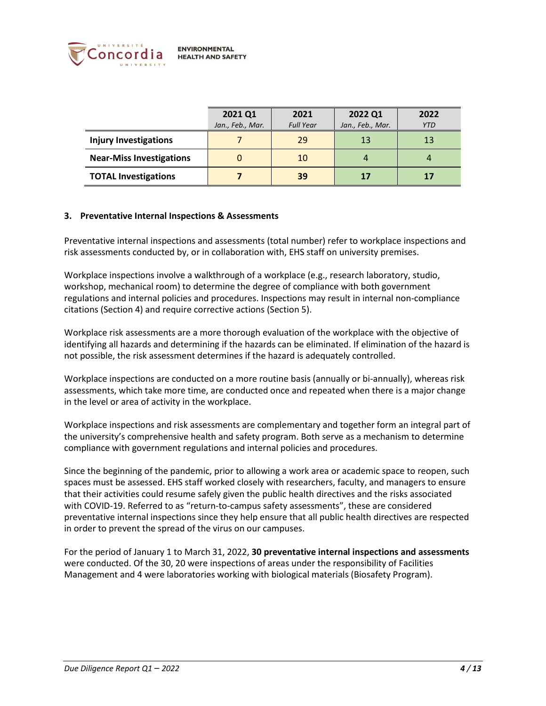

|                                 | 2021 Q1          | 2021             | 2022 Q1          | 2022       |
|---------------------------------|------------------|------------------|------------------|------------|
|                                 | Jan., Feb., Mar. | <b>Full Year</b> | Jan., Feb., Mar. | <b>YTD</b> |
| <b>Injury Investigations</b>    |                  | 29               | 13               | 13         |
| <b>Near-Miss Investigations</b> |                  | 10               |                  |            |
| <b>TOTAL Investigations</b>     |                  | 39               | 17               | 17         |

#### <span id="page-14-0"></span>**3. Preventative Internal Inspections & Assessments**

Preventative internal inspections and assessments (total number) refer to workplace inspections and risk assessments conducted by, or in collaboration with, EHS staff on university premises.

Workplace inspections involve a walkthrough of a workplace (e.g., research laboratory, studio, workshop, mechanical room) to determine the degree of compliance with both government regulations and internal policies and procedures. Inspections may result in internal non-compliance citations (Section 4) and require corrective actions (Section 5).

Workplace risk assessments are a more thorough evaluation of the workplace with the objective of identifying all hazards and determining if the hazards can be eliminated. If elimination of the hazard is not possible, the risk assessment determines if the hazard is adequately controlled.

Workplace inspections are conducted on a more routine basis (annually or bi-annually), whereas risk assessments, which take more time, are conducted once and repeated when there is a major change in the level or area of activity in the workplace.

Workplace inspections and risk assessments are complementary and together form an integral part of the university's comprehensive health and safety program. Both serve as a mechanism to determine compliance with government regulations and internal policies and procedures.

Since the beginning of the pandemic, prior to allowing a work area or academic space to reopen, such spaces must be assessed. EHS staff worked closely with researchers, faculty, and managers to ensure that their activities could resume safely given the public health directives and the risks associated with COVID-19. Referred to as "return-to-campus safety assessments", these are considered preventative internal inspections since they help ensure that all public health directives are respected in order to prevent the spread of the virus on our campuses.

For the period of January 1 to March 31, 2022, **30 preventative internal inspections and assessments** were conducted. Of the 30, 20 were inspections of areas under the responsibility of Facilities Management and 4 were laboratories working with biological materials (Biosafety Program).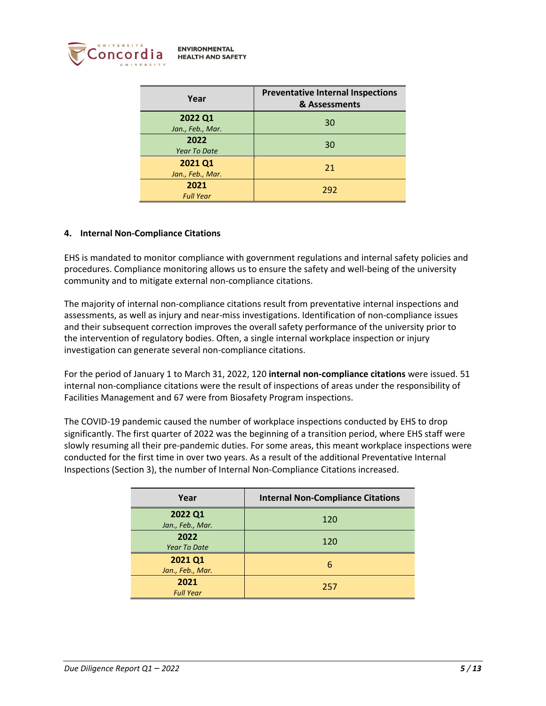

| Year                        | <b>Preventative Internal Inspections</b><br>& Assessments |
|-----------------------------|-----------------------------------------------------------|
| 2022 Q1<br>Jan., Feb., Mar. | 30                                                        |
| 2022<br><b>Year To Date</b> | 30                                                        |
| 2021 Q1<br>Jan., Feb., Mar. | 21                                                        |
| 2021<br><b>Full Year</b>    | 292                                                       |

#### <span id="page-15-0"></span>**4. Internal Non-Compliance Citations**

EHS is mandated to monitor compliance with government regulations and internal safety policies and procedures. Compliance monitoring allows us to ensure the safety and well-being of the university community and to mitigate external non-compliance citations.

The majority of internal non-compliance citations result from preventative internal inspections and assessments, as well as injury and near-miss investigations. Identification of non-compliance issues and their subsequent correction improves the overall safety performance of the university prior to the intervention of regulatory bodies. Often, a single internal workplace inspection or injury investigation can generate several non-compliance citations.

For the period of January 1 to March 31, 2022, 120 **internal non-compliance citations** were issued. 51 internal non-compliance citations were the result of inspections of areas under the responsibility of Facilities Management and 67 were from Biosafety Program inspections.

The COVID-19 pandemic caused the number of workplace inspections conducted by EHS to drop significantly. The first quarter of 2022 was the beginning of a transition period, where EHS staff were slowly resuming all their pre-pandemic duties. For some areas, this meant workplace inspections were conducted for the first time in over two years. As a result of the additional Preventative Internal Inspections (Section 3), the number of Internal Non-Compliance Citations increased.

| Year                        | <b>Internal Non-Compliance Citations</b> |
|-----------------------------|------------------------------------------|
| 2022 Q1<br>Jan., Feb., Mar. | 120                                      |
| 2022<br><b>Year To Date</b> | 120                                      |
| 2021 Q1<br>Jan., Feb., Mar. | 6                                        |
| 2021<br><b>Full Year</b>    | 257                                      |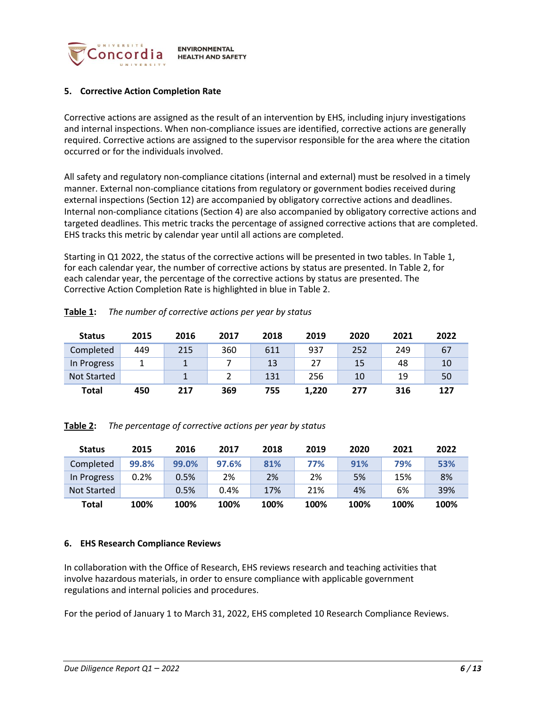

#### <span id="page-16-0"></span>**5. Corrective Action Completion Rate**

Corrective actions are assigned as the result of an intervention by EHS, including injury investigations and internal inspections. When non-compliance issues are identified, corrective actions are generally required. Corrective actions are assigned to the supervisor responsible for the area where the citation occurred or for the individuals involved.

All safety and regulatory non-compliance citations (internal and external) must be resolved in a timely manner. External non-compliance citations from regulatory or government bodies received during external inspections (Section 12) are accompanied by obligatory corrective actions and deadlines. Internal non-compliance citations (Section 4) are also accompanied by obligatory corrective actions and targeted deadlines. This metric tracks the percentage of assigned corrective actions that are completed. EHS tracks this metric by calendar year until all actions are completed.

Starting in Q1 2022, the status of the corrective actions will be presented in two tables. In Table 1, for each calendar year, the number of corrective actions by status are presented. In Table 2, for each calendar year, the percentage of the corrective actions by status are presented. The Corrective Action Completion Rate is highlighted in blue in Table 2.

| <b>Status</b>      | 2015 | 2016 | 2017 | 2018 | 2019  | 2020 | 2021 | 2022 |
|--------------------|------|------|------|------|-------|------|------|------|
| Completed          | 449  | 215  | 360  | 611  | 937   | 252  | 249  | 67   |
| In Progress        |      |      |      | 13   | 27    | 15   | 48   | 10   |
| <b>Not Started</b> |      | 1    |      | 131  | 256   | 10   | 19   | 50   |
| Total              | 450  | 217  | 369  | 755  | 1,220 | 277  | 316  | 127  |

| <b>Table 1:</b> The number of corrective actions per year by status |
|---------------------------------------------------------------------|
|                                                                     |

**Table 2:** *The percentage of corrective actions per year by status*

| <b>Status</b>      | 2015    | 2016  | 2017  | 2018 | 2019 | 2020 | 2021 | 2022 |
|--------------------|---------|-------|-------|------|------|------|------|------|
| Completed          | 99.8%   | 99.0% | 97.6% | 81%  | 77%  | 91%  | 79%  | 53%  |
| In Progress        | $0.2\%$ | 0.5%  | 2%    | 2%   | 2%   | 5%   | 15%  | 8%   |
| <b>Not Started</b> |         | 0.5%  | 0.4%  | 17%  | 21%  | 4%   | 6%   | 39%  |
| Total              | 100%    | 100%  | 100%  | 100% | 100% | 100% | 100% | 100% |

#### <span id="page-16-1"></span>**6. EHS Research Compliance Reviews**

In collaboration with the Office of Research, EHS reviews research and teaching activities that involve hazardous materials, in order to ensure compliance with applicable government regulations and internal policies and procedures.

For the period of January 1 to March 31, 2022, EHS completed 10 Research Compliance Reviews.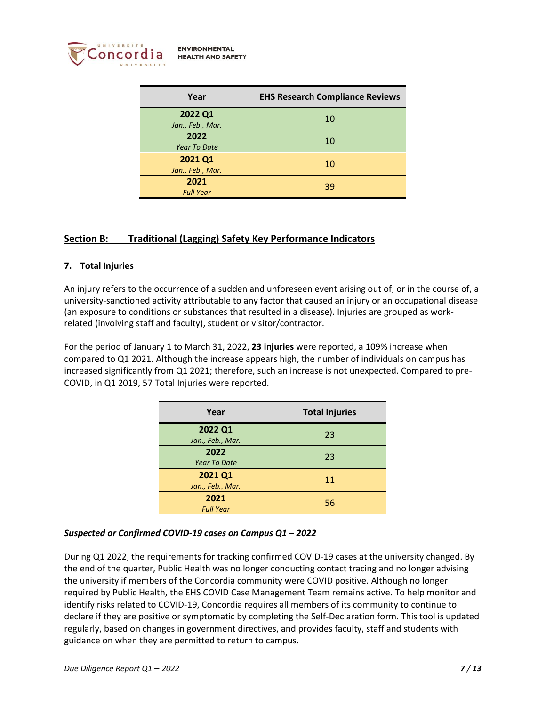

| Year                        | <b>EHS Research Compliance Reviews</b> |
|-----------------------------|----------------------------------------|
| 2022 Q1<br>Jan., Feb., Mar. | 10                                     |
| 2022<br><b>Year To Date</b> | 10                                     |
| 2021 Q1<br>Jan., Feb., Mar. | 10                                     |
| 2021<br><b>Full Year</b>    | 39                                     |

#### <span id="page-17-0"></span>**Section B: Traditional (Lagging) Safety Key Performance Indicators**

#### <span id="page-17-1"></span>**7. Total Injuries**

An injury refers to the occurrence of a sudden and unforeseen event arising out of, or in the course of, a university-sanctioned activity attributable to any factor that caused an injury or an occupational disease (an exposure to conditions or substances that resulted in a disease). Injuries are grouped as workrelated (involving staff and faculty), student or visitor/contractor.

For the period of January 1 to March 31, 2022, **23 injuries** were reported, a 109% increase when compared to Q1 2021. Although the increase appears high, the number of individuals on campus has increased significantly from Q1 2021; therefore, such an increase is not unexpected. Compared to pre-COVID, in Q1 2019, 57 Total Injuries were reported.

| Year                        | <b>Total Injuries</b> |
|-----------------------------|-----------------------|
| 2022 Q1<br>Jan., Feb., Mar. | 23                    |
| 2022<br><b>Year To Date</b> | 23                    |
| 2021 Q1<br>Jan., Feb., Mar. | 11                    |
| 2021<br><b>Full Year</b>    | 56                    |

#### *Suspected or Confirmed COVID-19 cases on Campus Q1 – 2022*

During Q1 2022, the requirements for tracking confirmed COVID-19 cases at the university changed. By the end of the quarter, Public Health was no longer conducting contact tracing and no longer advising the university if members of the Concordia community were COVID positive. Although no longer required by Public Health, the EHS COVID Case Management Team remains active. To help monitor and identify risks related to COVID-19, Concordia requires all members of its community to continue to declare if they are positive or symptomatic by completing the Self-Declaration form. This tool is updated regularly, based on changes in government directives, and provides faculty, staff and students with guidance on when they are permitted to return to campus.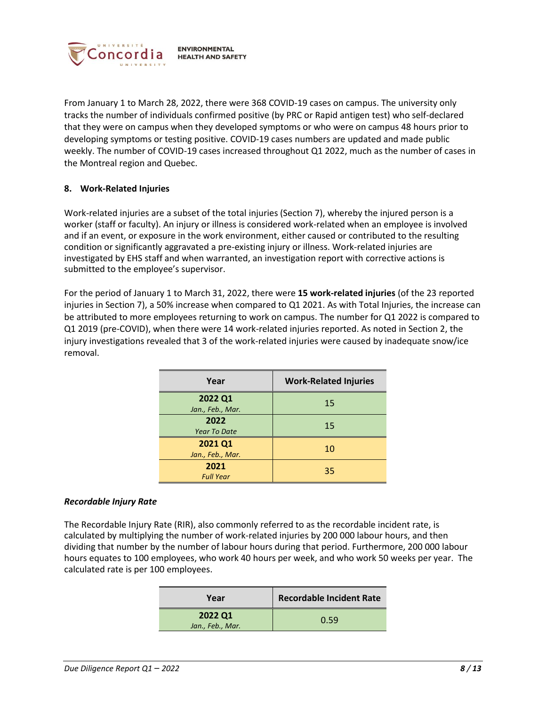

From January 1 to March 28, 2022, there were 368 COVID-19 cases on campus. The university only tracks the number of individuals confirmed positive (by PRC or Rapid antigen test) who self-declared that they were on campus when they developed symptoms or who were on campus 48 hours prior to developing symptoms or testing positive. COVID-19 cases numbers are updated and made public weekly. The number of COVID-19 cases increased throughout Q1 2022, much as the number of cases in the Montreal region and Quebec.

#### <span id="page-18-0"></span>**8. Work-Related Injuries**

Work-related injuries are a subset of the total injuries (Section 7), whereby the injured person is a worker (staff or faculty). An injury or illness is considered work-related when an employee is involved and if an event, or exposure in the work environment, either caused or contributed to the resulting condition or significantly aggravated a pre-existing injury or illness. Work-related injuries are investigated by EHS staff and when warranted, an investigation report with corrective actions is submitted to the employee's supervisor.

For the period of January 1 to March 31, 2022, there were **15 work-related injuries** (of the 23 reported injuries in Section 7), a 50% increase when compared to Q1 2021. As with Total Injuries, the increase can be attributed to more employees returning to work on campus. The number for Q1 2022 is compared to Q1 2019 (pre-COVID), when there were 14 work-related injuries reported. As noted in Section 2, the injury investigations revealed that 3 of the work-related injuries were caused by inadequate snow/ice removal.

| Year                        | <b>Work-Related Injuries</b> |
|-----------------------------|------------------------------|
| 2022 Q1<br>Jan., Feb., Mar. | 15                           |
| 2022<br><b>Year To Date</b> | 15                           |
| 2021 Q1<br>Jan., Feb., Mar. | 10                           |
| 2021<br><b>Full Year</b>    | 35                           |

#### *Recordable Injury Rate*

The Recordable Injury Rate (RIR), also commonly referred to as the recordable incident rate, is calculated by multiplying the number of work-related injuries by 200 000 labour hours, and then dividing that number by the number of labour hours during that period. Furthermore, 200 000 labour hours equates to 100 employees, who work 40 hours per week, and who work 50 weeks per year. The calculated rate is per 100 employees.

| Year                               | <b>Recordable Incident Rate</b> |
|------------------------------------|---------------------------------|
| <b>2022 Q1</b><br>Jan., Feb., Mar. | 0.59                            |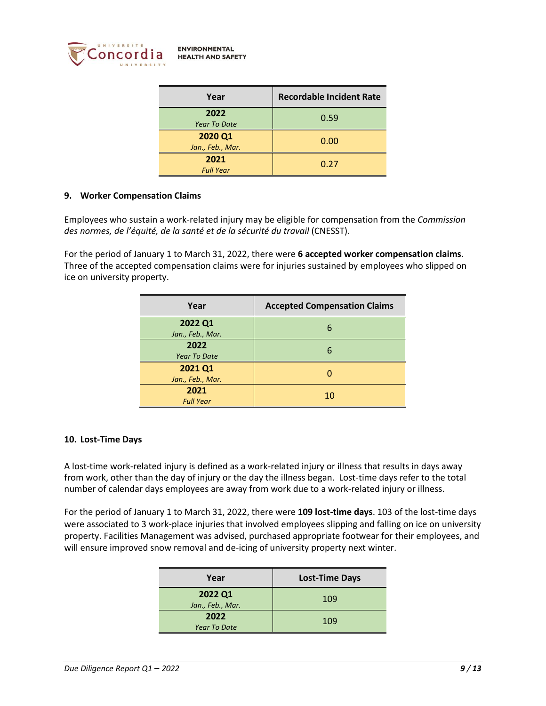

| Year                        | <b>Recordable Incident Rate</b> |
|-----------------------------|---------------------------------|
| 2022<br><b>Year To Date</b> | 0.59                            |
| 2020 Q1<br>Jan., Feb., Mar. | 0.00                            |
| 2021<br><b>Full Year</b>    | 0.27                            |

#### <span id="page-19-0"></span>**9. Worker Compensation Claims**

Employees who sustain a work-related injury may be eligible for compensation from the *Commission des normes, de l'équité, de la santé et de la sécurité du travail* (CNESST).

For the period of January 1 to March 31, 2022, there were **6 accepted worker compensation claims**. Three of the accepted compensation claims were for injuries sustained by employees who slipped on ice on university property.

| Year                        | <b>Accepted Compensation Claims</b> |
|-----------------------------|-------------------------------------|
| 2022 Q1<br>Jan., Feb., Mar. | 6                                   |
| 2022<br><b>Year To Date</b> | 6                                   |
| 2021 Q1<br>Jan., Feb., Mar. |                                     |
| 2021<br><b>Full Year</b>    | 10                                  |

#### <span id="page-19-1"></span>**10. Lost-Time Days**

A lost-time work-related injury is defined as a work-related injury or illness that results in days away from work, other than the day of injury or the day the illness began. Lost-time days refer to the total number of calendar days employees are away from work due to a work-related injury or illness.

For the period of January 1 to March 31, 2022, there were **109 lost-time days**. 103 of the lost-time days were associated to 3 work-place injuries that involved employees slipping and falling on ice on university property. Facilities Management was advised, purchased appropriate footwear for their employees, and will ensure improved snow removal and de-icing of university property next winter.

| Year                        | <b>Lost-Time Days</b> |
|-----------------------------|-----------------------|
| 2022 Q1<br>Jan., Feb., Mar. | 109                   |
| 2022<br><b>Year To Date</b> | 109                   |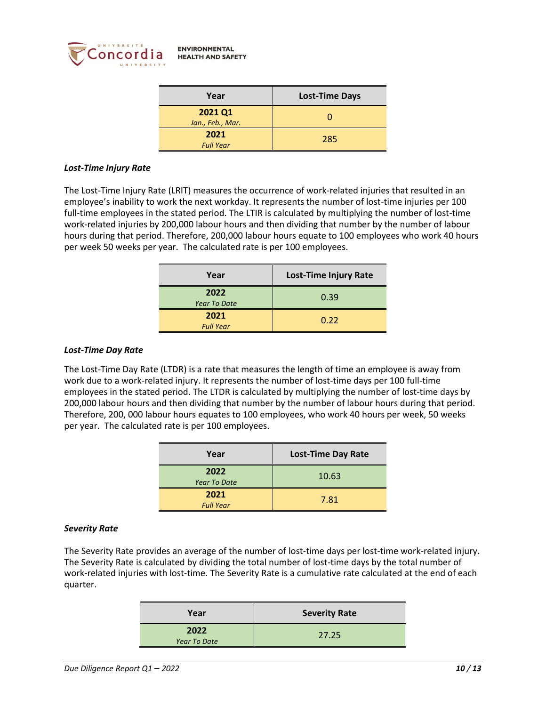

| Year                        | <b>Lost-Time Days</b> |
|-----------------------------|-----------------------|
| 2021 Q1<br>Jan., Feb., Mar. | O                     |
| 2021<br><b>Full Year</b>    | 285                   |

#### *Lost-Time Injury Rate*

The Lost-Time Injury Rate (LRIT) measures the occurrence of work-related injuries that resulted in an employee's inability to work the next workday. It represents the number of lost-time injuries per 100 full-time employees in the stated period. The LTIR is calculated by multiplying the number of lost-time work-related injuries by 200,000 labour hours and then dividing that number by the number of labour hours during that period. Therefore, 200,000 labour hours equate to 100 employees who work 40 hours per week 50 weeks per year. The calculated rate is per 100 employees.

| Year                        | <b>Lost-Time Injury Rate</b> |
|-----------------------------|------------------------------|
| 2022<br><b>Year To Date</b> | 0.39                         |
| 2021<br><b>Full Year</b>    | 0.22                         |

#### *Lost-Time Day Rate*

The Lost-Time Day Rate (LTDR) is a rate that measures the length of time an employee is away from work due to a work-related injury. It represents the number of lost-time days per 100 full-time employees in the stated period. The LTDR is calculated by multiplying the number of lost-time days by 200,000 labour hours and then dividing that number by the number of labour hours during that period. Therefore, 200, 000 labour hours equates to 100 employees, who work 40 hours per week, 50 weeks per year. The calculated rate is per 100 employees.

| Year                        | <b>Lost-Time Day Rate</b> |
|-----------------------------|---------------------------|
| 2022<br><b>Year To Date</b> | 10.63                     |
| 2021<br><b>Full Year</b>    | 7.81                      |

#### *Severity Rate*

The Severity Rate provides an average of the number of lost-time days per lost-time work-related injury. The Severity Rate is calculated by dividing the total number of lost-time days by the total number of work-related injuries with lost-time. The Severity Rate is a cumulative rate calculated at the end of each quarter.

| Year                        | <b>Severity Rate</b> |
|-----------------------------|----------------------|
| 2022<br><b>Year To Date</b> | 27.25                |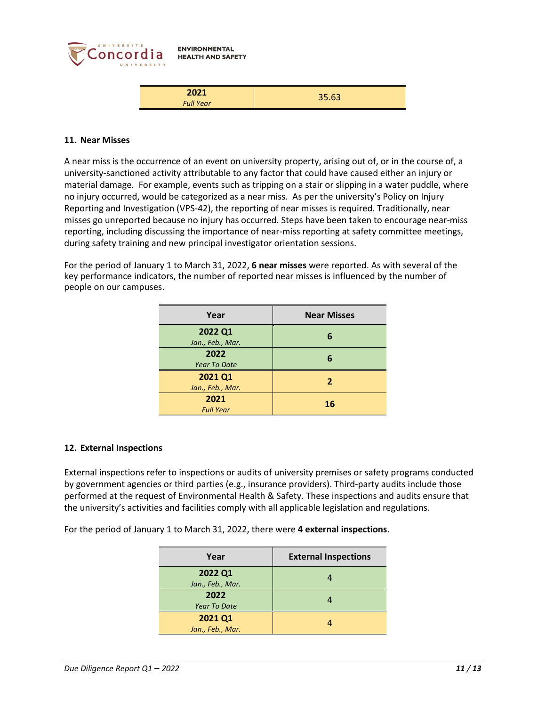

| 2021<br><b>Full Year</b> | 35.63 |
|--------------------------|-------|
|                          |       |

#### **11. Near Misses**

A near miss is the occurrence of an event on university property, arising out of, or in the course of, a university-sanctioned activity attributable to any factor that could have caused either an injury or material damage. For example, events such as tripping on a stair or slipping in a water puddle, where no injury occurred, would be categorized as a near miss. As per the university's Policy on Injury Reporting and Investigation (VPS-42), the reporting of near misses is required. Traditionally, near misses go unreported because no injury has occurred. Steps have been taken to encourage near-miss reporting, including discussing the importance of near-miss reporting at safety committee meetings, during safety training and new principal investigator orientation sessions.

For the period of January 1 to March 31, 2022, **6 near misses** were reported. As with several of the key performance indicators, the number of reported near misses is influenced by the number of people on our campuses.

| Year                        | <b>Near Misses</b> |
|-----------------------------|--------------------|
| 2022 Q1<br>Jan., Feb., Mar. | 6                  |
| 2022<br><b>Year To Date</b> | 6                  |
| 2021 Q1<br>Jan., Feb., Mar. | 2                  |
| 2021<br><b>Full Year</b>    | 16                 |

#### <span id="page-21-0"></span>**12. External Inspections**

External inspections refer to inspections or audits of university premises or safety programs conducted by government agencies or third parties (e.g., insurance providers). Third-party audits include those performed at the request of Environmental Health & Safety. These inspections and audits ensure that the university's activities and facilities comply with all applicable legislation and regulations.

For the period of January 1 to March 31, 2022, there were **4 external inspections**.

| Year                | <b>External Inspections</b> |
|---------------------|-----------------------------|
| 2022 Q1             |                             |
| Jan., Feb., Mar.    |                             |
| 2022                |                             |
| <b>Year To Date</b> |                             |
| 2021 Q1             |                             |
| Jan., Feb., Mar.    |                             |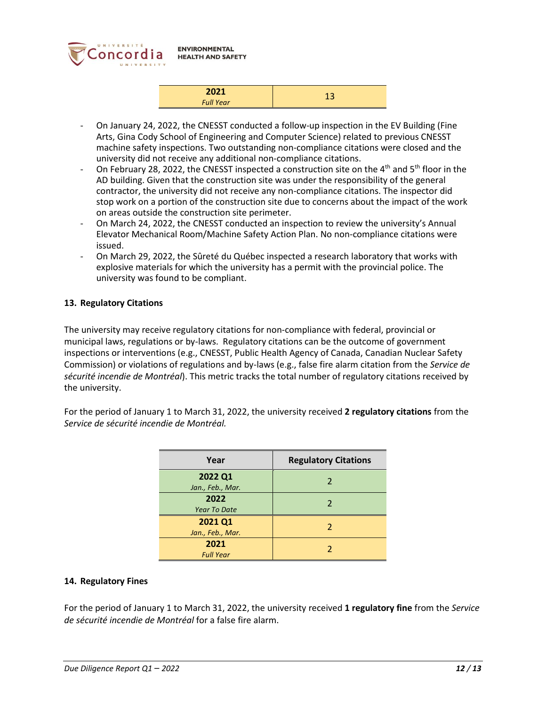

| 2021             | 4.0 |
|------------------|-----|
| <b>Full Year</b> | ∸   |

- On January 24, 2022, the CNESST conducted a follow-up inspection in the EV Building (Fine Arts, Gina Cody School of Engineering and Computer Science) related to previous CNESST machine safety inspections. Two outstanding non-compliance citations were closed and the university did not receive any additional non-compliance citations.
- On February 28, 2022, the CNESST inspected a construction site on the 4<sup>th</sup> and 5<sup>th</sup> floor in the AD building. Given that the construction site was under the responsibility of the general contractor, the university did not receive any non-compliance citations. The inspector did stop work on a portion of the construction site due to concerns about the impact of the work on areas outside the construction site perimeter.
- On March 24, 2022, the CNESST conducted an inspection to review the university's Annual Elevator Mechanical Room/Machine Safety Action Plan. No non-compliance citations were issued.
- On March 29, 2022, the Sûreté du Québec inspected a research laboratory that works with explosive materials for which the university has a permit with the provincial police. The university was found to be compliant.

#### <span id="page-22-0"></span>**13. Regulatory Citations**

The university may receive regulatory citations for non-compliance with federal, provincial or municipal laws, regulations or by-laws. Regulatory citations can be the outcome of government inspections or interventions (e.g., CNESST, Public Health Agency of Canada, Canadian Nuclear Safety Commission) or violations of regulations and by-laws (e.g., false fire alarm citation from the *Service de sécurité incendie de Montréal*). This metric tracks the total number of regulatory citations received by the university.

For the period of January 1 to March 31, 2022, the university received **2 regulatory citations** from the *Service de sécurité incendie de Montréal.* 

| Year                        | <b>Regulatory Citations</b> |
|-----------------------------|-----------------------------|
| 2022 Q1<br>Jan., Feb., Mar. | $\mathcal{P}$               |
| 2022<br><b>Year To Date</b> | $\mathcal{P}$               |
| 2021 Q1<br>Jan., Feb., Mar. | $\mathcal{P}$               |
| 2021<br><b>Full Year</b>    |                             |

#### <span id="page-22-1"></span>**14. Regulatory Fines**

For the period of January 1 to March 31, 2022, the university received **1 regulatory fine** from the *Service de sécurité incendie de Montréal* for a false fire alarm.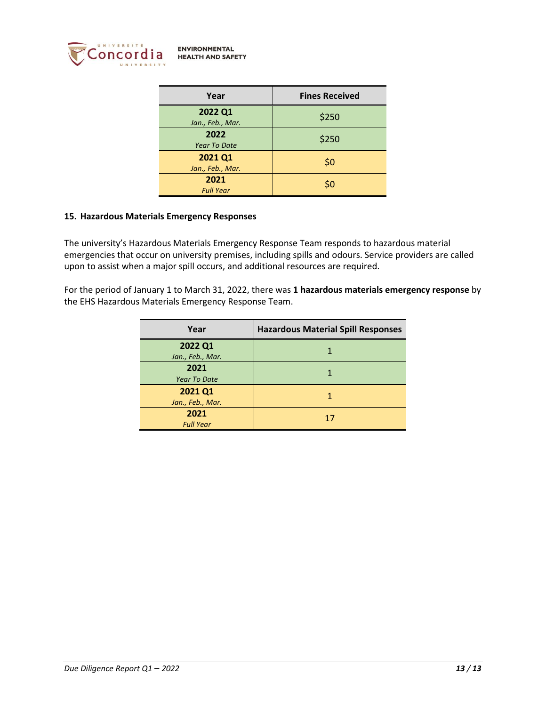

| Year                        | <b>Fines Received</b> |
|-----------------------------|-----------------------|
| 2022 Q1<br>Jan., Feb., Mar. | \$250                 |
| 2022<br>Year To Date        | \$250                 |
| 2021 Q1<br>Jan., Feb., Mar. | \$0                   |
| 2021<br><b>Full Year</b>    | \$0                   |

#### <span id="page-23-0"></span>**15. Hazardous Materials Emergency Responses**

The university's Hazardous Materials Emergency Response Team responds to hazardous material emergencies that occur on university premises, including spills and odours. Service providers are called upon to assist when a major spill occurs, and additional resources are required.

For the period of January 1 to March 31, 2022, there was **1 hazardous materials emergency response** by the EHS Hazardous Materials Emergency Response Team.

| Year                        | <b>Hazardous Material Spill Responses</b> |
|-----------------------------|-------------------------------------------|
| 2022 Q1<br>Jan., Feb., Mar. |                                           |
| 2021<br><b>Year To Date</b> |                                           |
| 2021 Q1<br>Jan., Feb., Mar. |                                           |
| 2021<br><b>Full Year</b>    | 17                                        |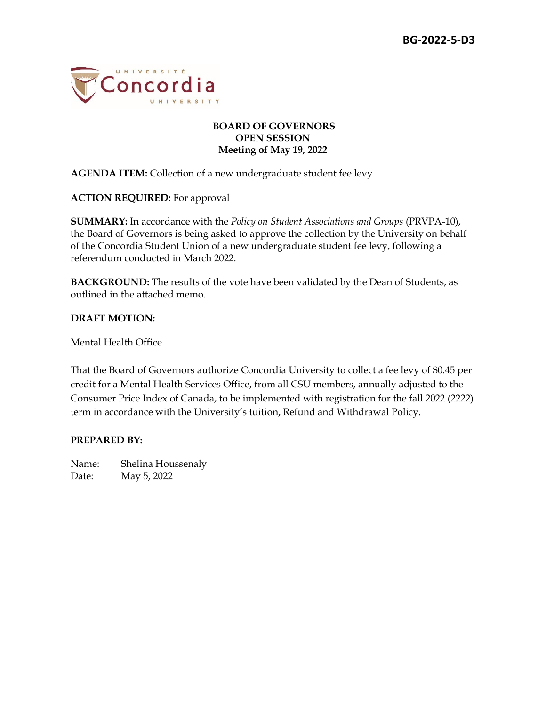

**AGENDA ITEM:** Collection of a new undergraduate student fee levy

**ACTION REQUIRED:** For approval

**SUMMARY:** In accordance with the *Policy on Student Associations and Groups* (PRVPA-10), the Board of Governors is being asked to approve the collection by the University on behalf of the Concordia Student Union of a new undergraduate student fee levy, following a referendum conducted in March 2022.

**BACKGROUND:** The results of the vote have been validated by the Dean of Students, as outlined in the attached memo.

#### **DRAFT MOTION:**

#### Mental Health Office

That the Board of Governors authorize Concordia University to collect a fee levy of \$0.45 per credit for a Mental Health Services Office, from all CSU members, annually adjusted to the Consumer Price Index of Canada, to be implemented with registration for the fall 2022 (2222) term in accordance with the University's tuition, Refund and Withdrawal Policy.

#### **PREPARED BY:**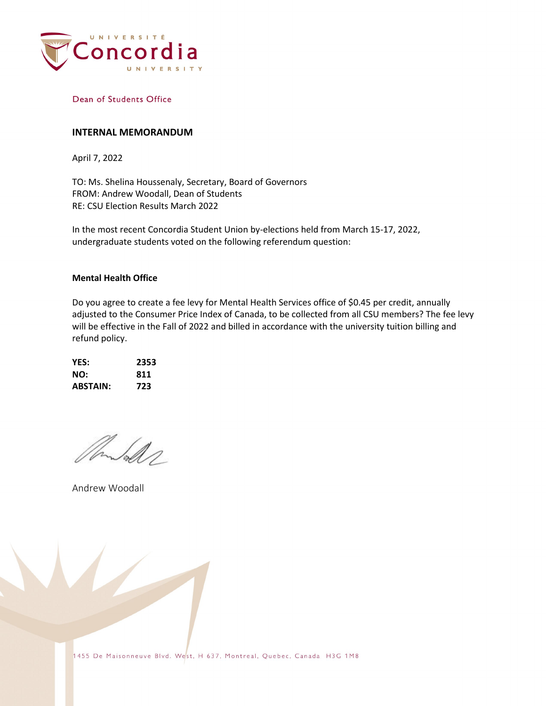

Dean of Students Office

#### **INTERNAL MEMORANDUM**

April 7, 2022

TO: Ms. Shelina Houssenaly, Secretary, Board of Governors FROM: Andrew Woodall, Dean of Students RE: CSU Election Results March 2022

In the most recent Concordia Student Union by-elections held from March 15-17, 2022, undergraduate students voted on the following referendum question:

#### **Mental Health Office**

Do you agree to create a fee levy for Mental Health Services office of \$0.45 per credit, annually adjusted to the Consumer Price Index of Canada, to be collected from all CSU members? The fee levy will be effective in the Fall of 2022 and billed in accordance with the university tuition billing and refund policy.

| YES:            | 2353 |
|-----------------|------|
| NO:             | 811  |
| <b>ABSTAIN:</b> | 723  |

Probable p

Andrew Woodall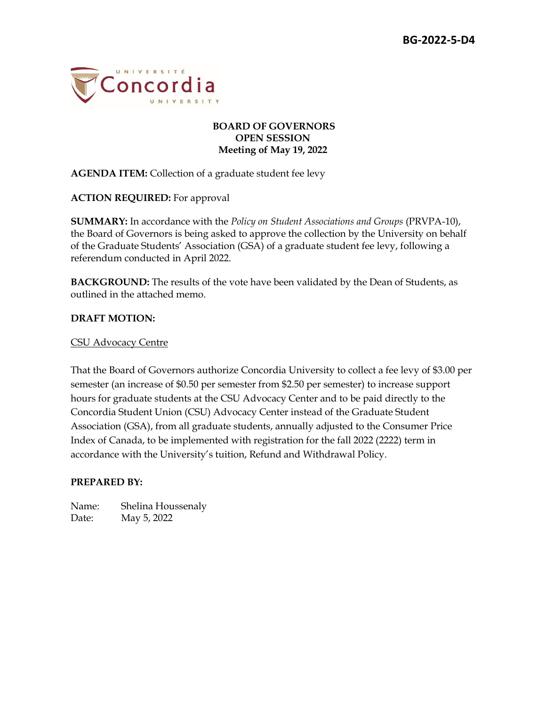

**AGENDA ITEM:** Collection of a graduate student fee levy

#### **ACTION REQUIRED:** For approval

**SUMMARY:** In accordance with the *Policy on Student Associations and Groups* (PRVPA-10), the Board of Governors is being asked to approve the collection by the University on behalf of the Graduate Students' Association (GSA) of a graduate student fee levy, following a referendum conducted in April 2022.

**BACKGROUND:** The results of the vote have been validated by the Dean of Students, as outlined in the attached memo.

#### **DRAFT MOTION:**

#### CSU Advocacy Centre

That the Board of Governors authorize Concordia University to collect a fee levy of \$3.00 per semester (an increase of \$0.50 per semester from \$2.50 per semester) to increase support hours for graduate students at the CSU Advocacy Center and to be paid directly to the Concordia Student Union (CSU) Advocacy Center instead of the Graduate Student Association (GSA), from all graduate students, annually adjusted to the Consumer Price Index of Canada, to be implemented with registration for the fall 2022 (2222) term in accordance with the University's tuition, Refund and Withdrawal Policy.

#### **PREPARED BY:**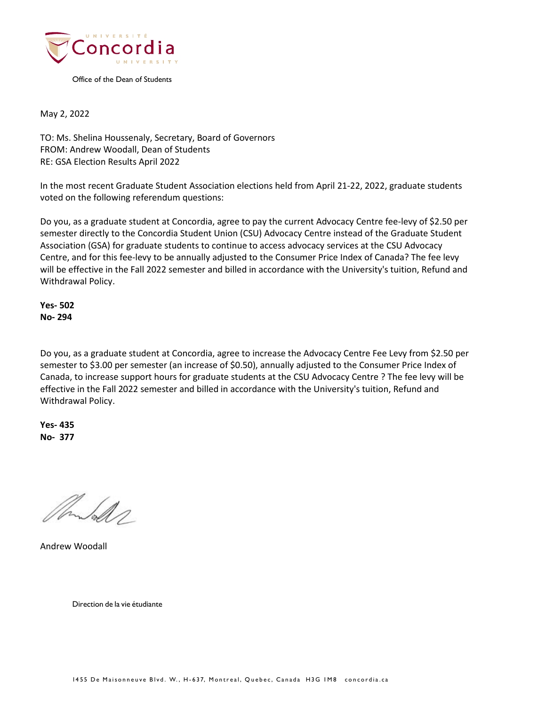

Office of the Dean of Students

May 2, 2022

TO: Ms. Shelina Houssenaly, Secretary, Board of Governors FROM: Andrew Woodall, Dean of Students RE: GSA Election Results April 2022

In the most recent Graduate Student Association elections held from April 21-22, 2022, graduate students voted on the following referendum questions:

Do you, as a graduate student at Concordia, agree to pay the current Advocacy Centre fee-levy of \$2.50 per semester directly to the Concordia Student Union (CSU) Advocacy Centre instead of the Graduate Student Association (GSA) for graduate students to continue to access advocacy services at the CSU Advocacy Centre, and for this fee-levy to be annually adjusted to the Consumer Price Index of Canada? The fee levy will be effective in the Fall 2022 semester and billed in accordance with the University's tuition, Refund and Withdrawal Policy.

**Yes- 502 No- 294**

Do you, as a graduate student at Concordia, agree to increase the Advocacy Centre Fee Levy from \$2.50 per semester to \$3.00 per semester (an increase of \$0.50), annually adjusted to the Consumer Price Index of Canada, to increase support hours for graduate students at the CSU Advocacy Centre ? The fee levy will be effective in the Fall 2022 semester and billed in accordance with the University's tuition, Refund and Withdrawal Policy.

**Yes- 435 No- 377**

Por Solo

Andrew Woodall

Direction de la vie étudiante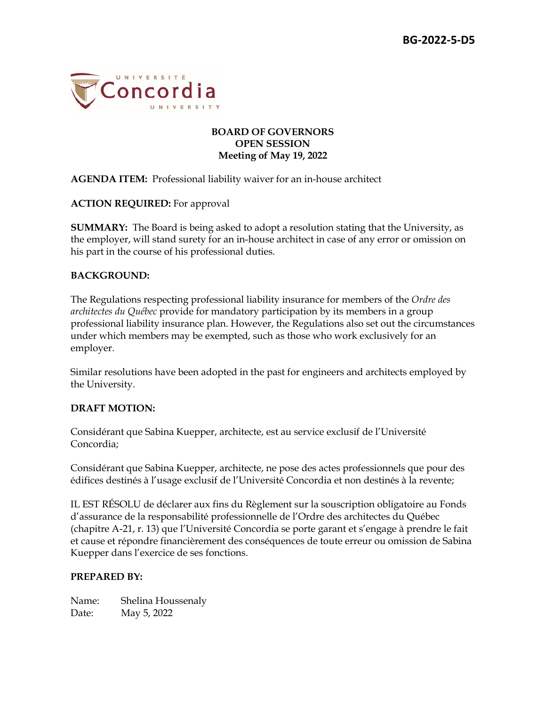

**AGENDA ITEM:** Professional liability waiver for an in-house architect

**ACTION REQUIRED:** For approval

**SUMMARY:** The Board is being asked to adopt a resolution stating that the University, as the employer, will stand surety for an in-house architect in case of any error or omission on his part in the course of his professional duties.

#### **BACKGROUND:**

The Regulations respecting professional liability insurance for members of the *Ordre des architectes du Québec* provide for mandatory participation by its members in a group professional liability insurance plan. However, the Regulations also set out the circumstances under which members may be exempted, such as those who work exclusively for an employer.

Similar resolutions have been adopted in the past for engineers and architects employed by the University.

#### **DRAFT MOTION:**

Considérant que Sabina Kuepper, architecte, est au service exclusif de l'Université Concordia;

Considérant que Sabina Kuepper, architecte, ne pose des actes professionnels que pour des édifices destinés à l'usage exclusif de l'Université Concordia et non destinés à la revente;

IL EST RÉSOLU de déclarer aux fins du Règlement sur la souscription obligatoire au Fonds d'assurance de la responsabilité professionnelle de l'Ordre des architectes du Québec (chapitre A-21, r. 13) que l'Université Concordia se porte garant et s'engage à prendre le fait et cause et répondre financièrement des conséquences de toute erreur ou omission de Sabina Kuepper dans l'exercice de ses fonctions.

#### **PREPARED BY:**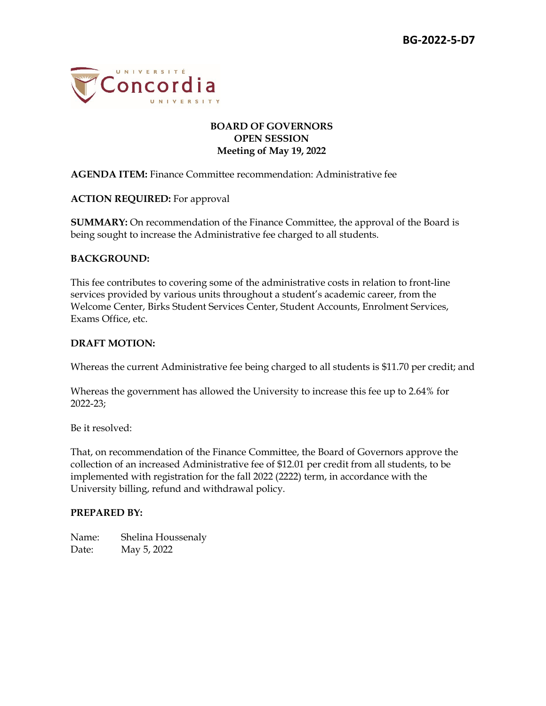

**AGENDA ITEM:** Finance Committee recommendation: Administrative fee

**ACTION REQUIRED:** For approval

**SUMMARY:** On recommendation of the Finance Committee, the approval of the Board is being sought to increase the Administrative fee charged to all students.

#### **BACKGROUND:**

This fee contributes to covering some of the administrative costs in relation to front-line services provided by various units throughout a student's academic career, from the Welcome Center, Birks Student Services Center, Student Accounts, Enrolment Services, Exams Office, etc.

#### **DRAFT MOTION:**

Whereas the current Administrative fee being charged to all students is \$11.70 per credit; and

Whereas the government has allowed the University to increase this fee up to 2.64% for 2022-23;

Be it resolved:

That, on recommendation of the Finance Committee, the Board of Governors approve the collection of an increased Administrative fee of \$12.01 per credit from all students, to be implemented with registration for the fall 2022 (2222) term, in accordance with the University billing, refund and withdrawal policy.

#### **PREPARED BY:**